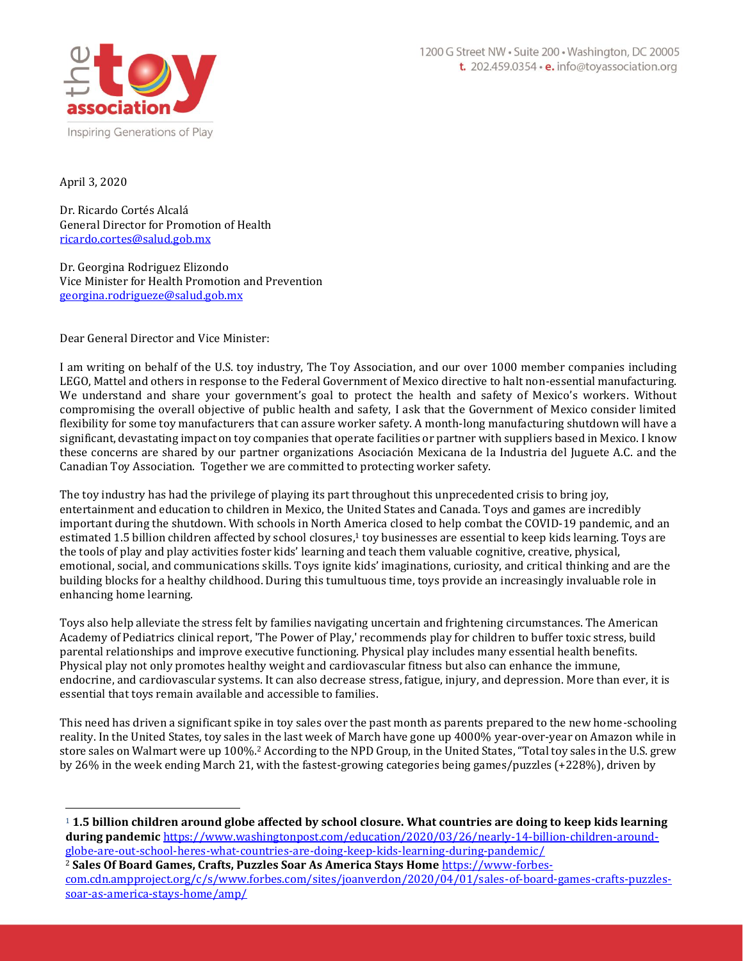

April 3, 2020

Dr. Ricardo Cortés Alcalá General Director for Promotion of Health [ricardo.cortes@salud.gob.mx](mailto:ricardo.cortes@salud.gob.mx)

Dr. Georgina Rodriguez Elizondo Vice Minister for Health Promotion and Prevention [georgina.rodrigueze@salud.gob.mx](mailto:georgina.rodrigueze@salud.gob.mx)

Dear General Director and Vice Minister:

I am writing on behalf of the U.S. toy industry, The Toy Association, and our over 1000 member companies including LEGO, Mattel and others in response to the Federal Government of Mexico directive to halt non-essential manufacturing. We understand and share your government's goal to protect the health and safety of Mexico's workers. Without compromising the overall objective of public health and safety, I ask that the Government of Mexico consider limited flexibility for some toy manufacturers that can assure worker safety. A month-long manufacturing shutdown will have a significant, devastating impact on toy companies that operate facilities or partner with suppliers based in Mexico. I know these concerns are shared by our partner organizations Asociación Mexicana de la Industria del Juguete A.C. and the Canadian Toy Association. Together we are committed to protecting worker safety.

The toy industry has had the privilege of playing its part throughout this unprecedented crisis to bring joy, entertainment and education to children in Mexico, the United States and Canada. Toys and games are incredibly important during the shutdown. With schools in North America closed to help combat the COVID-19 pandemic, and an estimated 1.5 billion children affected by school closures,<sup>1</sup> toy businesses are essential to keep kids learning. Toys are the tools of play and play activities foster kids' learning and teach them valuable cognitive, creative, physical, emotional, social, and communications skills. Toys ignite kids' imaginations, curiosity, and critical thinking and are the building blocks for a healthy childhood. During this tumultuous time, toys provide an increasingly invaluable role in enhancing home learning.

Toys also help alleviate the stress felt by families navigating uncertain and frightening circumstances. The American Academy of Pediatrics clinical report, 'The Power of Play,' recommends play for children to buffer toxic stress, build parental relationships and improve executive functioning. Physical play includes many essential health benefits. Physical play not only promotes healthy weight and cardiovascular fitness but also can enhance the immune, endocrine, and cardiovascular systems. It can also decrease stress, fatigue, injury, and depression. More than ever, it is essential that toys remain available and accessible to families.

This need has driven a significant spike in toy sales over the past month as parents prepared to the new home-schooling reality. In the United States, toy sales in the last week of March have gone up 4000% year-over-year on Amazon while in store sales on Walmart were up 100%.<sup>2</sup> According to the NPD Group, in the United States, "Total toy sales in the U.S. grew by 26% in the week ending March 21, with the fastest-growing categories being games/puzzles (+228%), driven by

<sup>1</sup> **1.5 billion children around globe affected by school closure. What countries are doing to keep kids learning during pandemic** [https://www.washingtonpost.com/education/2020/03/26/nearly-14-billion-children-around](https://urldefense.proofpoint.com/v2/url?u=https-3A__www.washingtonpost.com_education_2020_03_26_nearly-2D14-2Dbillion-2Dchildren-2Daround-2Dglobe-2Dare-2Dout-2Dschool-2Dheres-2Dwhat-2Dcountries-2Dare-2Ddoing-2Dkeep-2Dkids-2Dlearning-2Dduring-2Dpandemic_&d=DwMFAg&c=euGZstcaTDllvimEN8b7jXrwqOf-v5A_CdpgnVfiiMM&r=YmVs0sifYwW3Dy-vztSmr-u9U-tMkCpbCG7pigfGIHs&m=zPzRCyasow_kavhNd_4XrhUfAGcL0IrfyMRcomb--6w&s=R6YvfN3DUwJCHiZmUqL6AEcsOLMJgSLB8AuhOnmAF58&e=)[globe-are-out-school-heres-what-countries-are-doing-keep-kids-learning-during-pandemic/](https://urldefense.proofpoint.com/v2/url?u=https-3A__www.washingtonpost.com_education_2020_03_26_nearly-2D14-2Dbillion-2Dchildren-2Daround-2Dglobe-2Dare-2Dout-2Dschool-2Dheres-2Dwhat-2Dcountries-2Dare-2Ddoing-2Dkeep-2Dkids-2Dlearning-2Dduring-2Dpandemic_&d=DwMFAg&c=euGZstcaTDllvimEN8b7jXrwqOf-v5A_CdpgnVfiiMM&r=YmVs0sifYwW3Dy-vztSmr-u9U-tMkCpbCG7pigfGIHs&m=zPzRCyasow_kavhNd_4XrhUfAGcL0IrfyMRcomb--6w&s=R6YvfN3DUwJCHiZmUqL6AEcsOLMJgSLB8AuhOnmAF58&e=)

<sup>2</sup> **Sales Of Board Games, Crafts, Puzzles Soar As America Stays Home** [https://www-forbes](https://www-forbes-com.cdn.ampproject.org/c/s/www.forbes.com/sites/joanverdon/2020/04/01/sales-of-board-games-crafts-puzzles-soar-as-america-stays-home/amp/)[com.cdn.ampproject.org/c/s/www.forbes.com/sites/joanverdon/2020/04/01/sales-of-board-games-crafts-puzzles](https://www-forbes-com.cdn.ampproject.org/c/s/www.forbes.com/sites/joanverdon/2020/04/01/sales-of-board-games-crafts-puzzles-soar-as-america-stays-home/amp/)[soar-as-america-stays-home/amp/](https://www-forbes-com.cdn.ampproject.org/c/s/www.forbes.com/sites/joanverdon/2020/04/01/sales-of-board-games-crafts-puzzles-soar-as-america-stays-home/amp/)